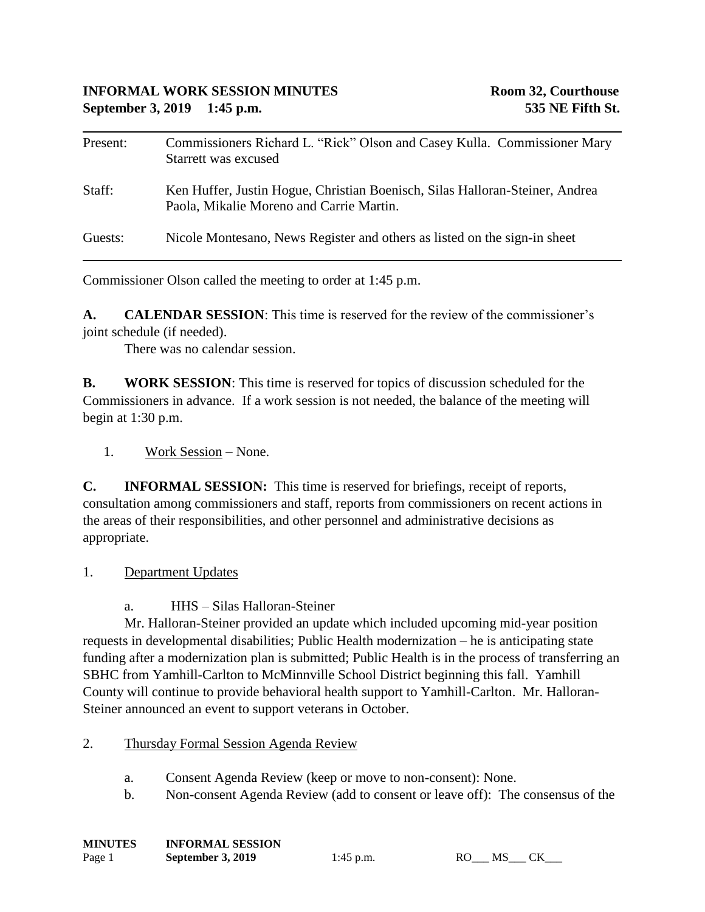## **INFORMAL WORK SESSION MINUTES Room 32, Courthouse September 3, 2019 1:45 p.m. 535 NE Fifth St.**

| Present: | Commissioners Richard L. "Rick" Olson and Casey Kulla. Commissioner Mary<br>Starrett was excused                         |
|----------|--------------------------------------------------------------------------------------------------------------------------|
| Staff:   | Ken Huffer, Justin Hogue, Christian Boenisch, Silas Halloran-Steiner, Andrea<br>Paola, Mikalie Moreno and Carrie Martin. |
| Guests:  | Nicole Montesano, News Register and others as listed on the sign-in sheet                                                |

Commissioner Olson called the meeting to order at 1:45 p.m.

**A. CALENDAR SESSION**: This time is reserved for the review of the commissioner's joint schedule (if needed).

There was no calendar session.

**B. WORK SESSION**: This time is reserved for topics of discussion scheduled for the Commissioners in advance. If a work session is not needed, the balance of the meeting will begin at 1:30 p.m.

1. Work Session – None.

**C. INFORMAL SESSION:** This time is reserved for briefings, receipt of reports, consultation among commissioners and staff, reports from commissioners on recent actions in the areas of their responsibilities, and other personnel and administrative decisions as appropriate.

1. Department Updates

a. HHS – Silas Halloran-Steiner

Mr. Halloran-Steiner provided an update which included upcoming mid-year position requests in developmental disabilities; Public Health modernization – he is anticipating state funding after a modernization plan is submitted; Public Health is in the process of transferring an SBHC from Yamhill-Carlton to McMinnville School District beginning this fall. Yamhill County will continue to provide behavioral health support to Yamhill-Carlton. Mr. Halloran-Steiner announced an event to support veterans in October.

- 2. Thursday Formal Session Agenda Review
	- a. Consent Agenda Review (keep or move to non-consent): None.
	- b. Non-consent Agenda Review (add to consent or leave off): The consensus of the